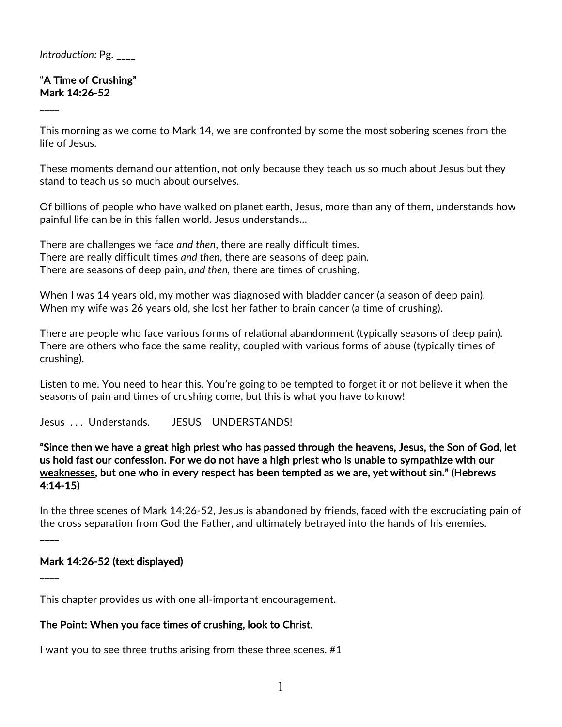#### *Introduction:* Pg. \_\_\_\_

#### "A Time of Crushing" Mark 14:26-52

 $\overline{\phantom{a}}$ 

This morning as we come to Mark 14, we are confronted by some the most sobering scenes from the life of Jesus.

These moments demand our attention, not only because they teach us so much about Jesus but they stand to teach us so much about ourselves.

Of billions of people who have walked on planet earth, Jesus, more than any of them, understands how painful life can be in this fallen world. Jesus understands…

There are challenges we face *and then*, there are really difficult times. There are really difficult times *and then*, there are seasons of deep pain. There are seasons of deep pain, *and then,* there are times of crushing.

When I was 14 years old, my mother was diagnosed with bladder cancer (a season of deep pain). When my wife was 26 years old, she lost her father to brain cancer (a time of crushing).

There are people who face various forms of relational abandonment (typically seasons of deep pain). There are others who face the same reality, coupled with various forms of abuse (typically times of crushing).

Listen to me. You need to hear this. You're going to be tempted to forget it or not believe it when the seasons of pain and times of crushing come, but this is what you have to know!

Jesus . . . Understands. JESUS UNDERSTANDS!

"Since then we have a great high priest who has passed through the heavens, Jesus, the Son of God, let us hold fast our confession. For we do not have a high priest who is unable to sympathize with our weaknesses, but one who in every respect has been tempted as we are, yet without sin." (Hebrews 4:14-15)

In the three scenes of Mark 14:26-52, Jesus is abandoned by friends, faced with the excruciating pain of the cross separation from God the Father, and ultimately betrayed into the hands of his enemies.

### Mark 14:26-52 (text displayed)

 $\overline{\phantom{a}}$ 

 $\overline{\phantom{a}}$ 

This chapter provides us with one all-important encouragement.

### The Point: When you face times of crushing, look to Christ.

I want you to see three truths arising from these three scenes. #1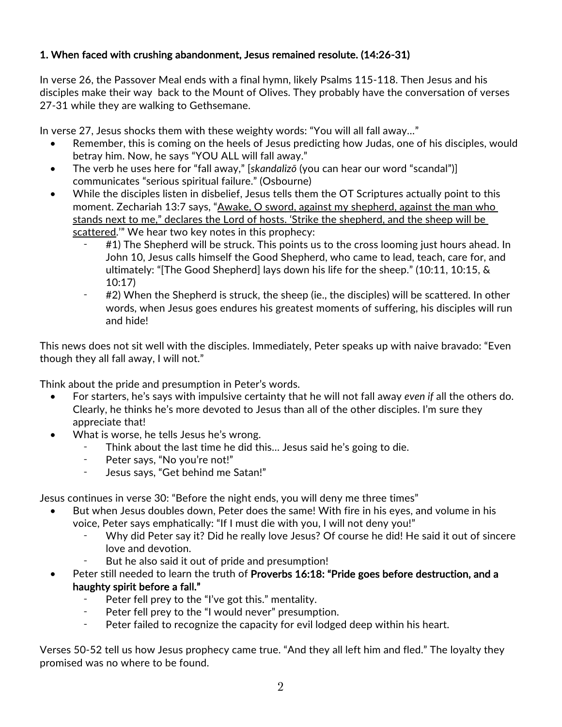### 1. When faced with crushing abandonment, Jesus remained resolute. (14:26-31)

In verse 26, the Passover Meal ends with a final hymn, likely Psalms 115-118. Then Jesus and his disciples make their way back to the Mount of Olives. They probably have the conversation of verses 27-31 while they are walking to Gethsemane.

In verse 27, Jesus shocks them with these weighty words: "You will all fall away…"

- Remember, this is coming on the heels of Jesus predicting how Judas, one of his disciples, would betray him. Now, he says "YOU ALL will fall away."
- The verb he uses here for "fall away," [*skandalizō* (you can hear our word "scandal")] communicates "serious spiritual failure." (Osbourne)
- While the disciples listen in disbelief, Jesus tells them the OT Scriptures actually point to this moment. Zechariah 13:7 says, "Awake, O sword, against my shepherd, against the man who stands next to me," declares the Lord of hosts. 'Strike the shepherd, and the sheep will be scattered." We hear two key notes in this prophecy:
	- #1) The Shepherd will be struck. This points us to the cross looming just hours ahead. In John 10, Jesus calls himself the Good Shepherd, who came to lead, teach, care for, and ultimately: "[The Good Shepherd] lays down his life for the sheep." (10:11, 10:15, & 10:17)
	- ⁃ #2) When the Shepherd is struck, the sheep (ie., the disciples) will be scattered. In other words, when Jesus goes endures his greatest moments of suffering, his disciples will run and hide!

This news does not sit well with the disciples. Immediately, Peter speaks up with naive bravado: "Even though they all fall away, I will not."

Think about the pride and presumption in Peter's words.

- For starters, he's says with impulsive certainty that he will not fall away *even if* all the others do. Clearly, he thinks he's more devoted to Jesus than all of the other disciples. I'm sure they appreciate that!
- What is worse, he tells Jesus he's wrong.
	- Think about the last time he did this... Jesus said he's going to die.
	- ⁃ Peter says, "No you're not!"
	- ⁃ Jesus says, "Get behind me Satan!"

Jesus continues in verse 30: "Before the night ends, you will deny me three times"

- But when Jesus doubles down, Peter does the same! With fire in his eyes, and volume in his voice, Peter says emphatically: "If I must die with you, I will not deny you!"
	- Why did Peter say it? Did he really love Jesus? Of course he did! He said it out of sincere love and devotion.
	- But he also said it out of pride and presumption!
- Peter still needed to learn the truth of Proverbs 16:18: "Pride goes before destruction, and a haughty spirit before a fall."
	- ⁃ Peter fell prey to the "I've got this." mentality.
	- ⁃ Peter fell prey to the "I would never" presumption.
	- ⁃ Peter failed to recognize the capacity for evil lodged deep within his heart.

Verses 50-52 tell us how Jesus prophecy came true. "And they all left him and fled." The loyalty they promised was no where to be found.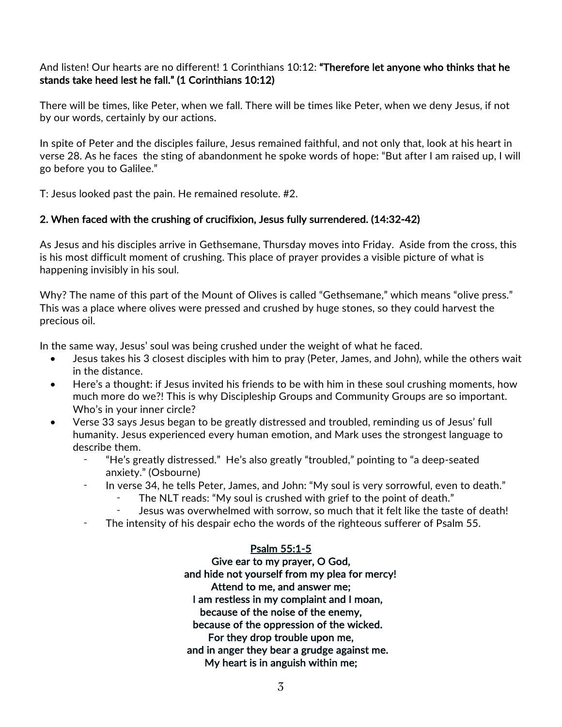### And listen! Our hearts are no different! 1 Corinthians 10:12: "Therefore let anyone who thinks that he stands take heed lest he fall." (1 Corinthians 10:12)

There will be times, like Peter, when we fall. There will be times like Peter, when we deny Jesus, if not by our words, certainly by our actions.

In spite of Peter and the disciples failure, Jesus remained faithful, and not only that, look at his heart in verse 28. As he faces the sting of abandonment he spoke words of hope: "But after I am raised up, I will go before you to Galilee."

T: Jesus looked past the pain. He remained resolute. #2.

### 2. When faced with the crushing of crucifixion, Jesus fully surrendered. (14:32-42)

As Jesus and his disciples arrive in Gethsemane, Thursday moves into Friday. Aside from the cross, this is his most difficult moment of crushing. This place of prayer provides a visible picture of what is happening invisibly in his soul.

Why? The name of this part of the Mount of Olives is called "Gethsemane," which means "olive press." This was a place where olives were pressed and crushed by huge stones, so they could harvest the precious oil.

In the same way, Jesus' soul was being crushed under the weight of what he faced.

- Jesus takes his 3 closest disciples with him to pray (Peter, James, and John), while the others wait in the distance.
- Here's a thought: if Jesus invited his friends to be with him in these soul crushing moments, how much more do we?! This is why Discipleship Groups and Community Groups are so important. Who's in your inner circle?
- Verse 33 says Jesus began to be greatly distressed and troubled, reminding us of Jesus' full humanity. Jesus experienced every human emotion, and Mark uses the strongest language to describe them.
	- ⁃ "He's greatly distressed." He's also greatly "troubled," pointing to "a deep-seated anxiety." (Osbourne)
	- In verse 34, he tells Peter, James, and John: "My soul is very sorrowful, even to death."
		- The NLT reads: "My soul is crushed with grief to the point of death."
		- Jesus was overwhelmed with sorrow, so much that it felt like the taste of death!
	- ⁃ The intensity of his despair echo the words of the righteous sufferer of Psalm 55.

### Psalm 55:1-5

Give ear to my prayer, O God, and hide not yourself from my plea for mercy! Attend to me, and answer me; I am restless in my complaint and I moan, because of the noise of the enemy, because of the oppression of the wicked. For they drop trouble upon me, and in anger they bear a grudge against me. My heart is in anguish within me;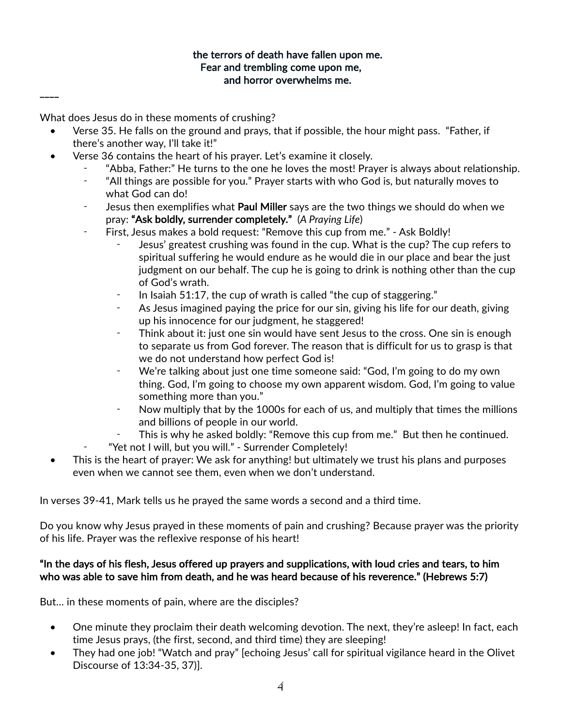### the terrors of death have fallen upon me. Fear and trembling come upon me, and horror overwhelms me.

What does Jesus do in these moments of crushing?

 $\overline{\phantom{a}}$ 

- Verse 35. He falls on the ground and prays, that if possible, the hour might pass. "Father, if there's another way, I'll take it!"
- Verse 36 contains the heart of his prayer. Let's examine it closely.
	- ⁃ "Abba, Father:" He turns to the one he loves the most! Prayer is always about relationship.
	- ⁃ "All things are possible for you." Prayer starts with who God is, but naturally moves to what God can do!
	- Jesus then exemplifies what Paul Miller says are the two things we should do when we pray: "Ask boldly, surrender completely." (*A Praying Life*)
	- ⁃ First, Jesus makes a bold request: "Remove this cup from me." Ask Boldly!
		- Jesus' greatest crushing was found in the cup. What is the cup? The cup refers to spiritual suffering he would endure as he would die in our place and bear the just judgment on our behalf. The cup he is going to drink is nothing other than the cup of God's wrath.
		- In Isaiah 51:17, the cup of wrath is called "the cup of staggering."
		- ⁃ As Jesus imagined paying the price for our sin, giving his life for our death, giving up his innocence for our judgment, he staggered!
		- Think about it: just one sin would have sent Jesus to the cross. One sin is enough to separate us from God forever. The reason that is difficult for us to grasp is that we do not understand how perfect God is!
		- We're talking about just one time someone said: "God, I'm going to do my own thing. God, I'm going to choose my own apparent wisdom. God, I'm going to value something more than you."
		- ⁃ Now multiply that by the 1000s for each of us, and multiply that times the millions and billions of people in our world.
		- This is why he asked boldly: "Remove this cup from me." But then he continued.
		- ⁃ "Yet not I will, but you will." Surrender Completely!
- This is the heart of prayer: We ask for anything! but ultimately we trust his plans and purposes even when we cannot see them, even when we don't understand.

In verses 39-41, Mark tells us he prayed the same words a second and a third time.

Do you know why Jesus prayed in these moments of pain and crushing? Because prayer was the priority of his life. Prayer was the reflexive response of his heart!

### "In the days of his flesh, Jesus offered up prayers and supplications, with loud cries and tears, to him who was able to save him from death, and he was heard because of his reverence." (Hebrews 5:7)

But… in these moments of pain, where are the disciples?

- One minute they proclaim their death welcoming devotion. The next, they're asleep! In fact, each time Jesus prays, (the first, second, and third time) they are sleeping!
- They had one job! "Watch and pray" [echoing Jesus' call for spiritual vigilance heard in the Olivet Discourse of 13:34-35, 37)].